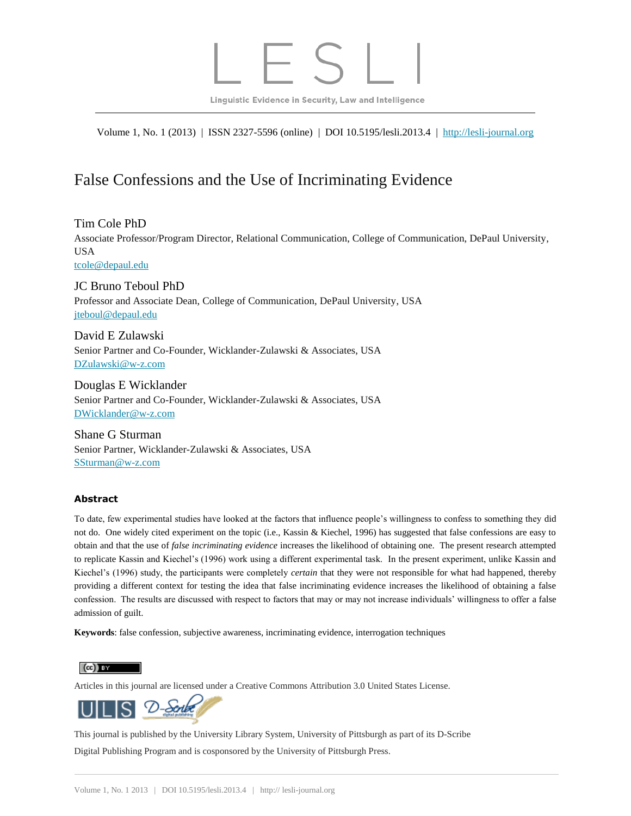Linguistic Evidence in Security, Law and Intelligence

Volume 1, No. 1 (2013) | ISSN 2327-5596 (online) | DOI 10.5195/lesli.2013.4 | [http://lesli-journal.org](http://lesli-journal.org/)

# False Confessions and the Use of Incriminating Evidence

Tim Cole PhD Associate Professor/Program Director, Relational Communication, College of Communication, DePaul University, USA [tcole@depaul.edu](mailto:tcole@depaul.edu)

JC Bruno Teboul PhD Professor and Associate Dean, College of Communication, DePaul University, USA [jteboul@depaul.edu](mailto:jteboul@depaul.edu)

David E Zulawski Senior Partner and Co-Founder, Wicklander-Zulawski & Associates, USA [DZulawski@w-z.com](mailto:DZulawski@w-z.com)

Douglas E Wicklander Senior Partner and Co-Founder, Wicklander-Zulawski & Associates, USA [DWicklander@w-z.com](mailto:DWicklander@w-z.com)

Shane G Sturman Senior Partner, Wicklander-Zulawski & Associates, USA [SSturman@w-z.com](mailto:SSturman@w-z.com)

#### **Abstract**

To date, few experimental studies have looked at the factors that influence people's willingness to confess to something they did not do. One widely cited experiment on the topic (i.e., Kassin & Kiechel, 1996) has suggested that false confessions are easy to obtain and that the use of *false incriminating evidence* increases the likelihood of obtaining one. The present research attempted to replicate Kassin and Kiechel's (1996) work using a different experimental task. In the present experiment, unlike Kassin and Kiechel's (1996) study, the participants were completely *certain* that they were not responsible for what had happened, thereby providing a different context for testing the idea that false incriminating evidence increases the likelihood of obtaining a false confession. The results are discussed with respect to factors that may or may not increase individuals' willingness to offer a false admission of guilt.

**Keywords**: false confession, subjective awareness, incriminating evidence, interrogation techniques

 $\left(\mathrm{cc}\right)$  BY

Articles in this journal are licensed under a Creative Commons Attribution 3.0 United States License.



This journal is published by the [University Library System,](http://www.library.pitt.edu/) [University of Pittsburgh](http://www.pitt.edu/) as part of it[s D-Scribe](http://www.library.pitt.edu/dscribe/) [Digital Publishing Program](http://www.library.pitt.edu/dscribe/) and is cosponsored by th[e University of Pittsburgh Press.](http://www.upress.pitt.edu/upressIndex.aspx)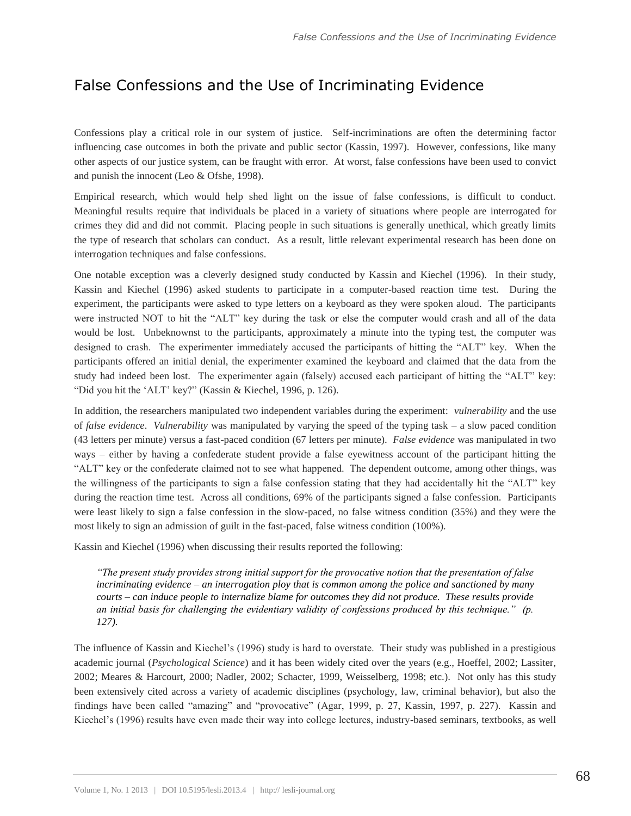# False Confessions and the Use of Incriminating Evidence

Confessions play a critical role in our system of justice. Self-incriminations are often the determining factor influencing case outcomes in both the private and public sector (Kassin, 1997). However, confessions, like many other aspects of our justice system, can be fraught with error. At worst, false confessions have been used to convict and punish the innocent (Leo & Ofshe, 1998).

Empirical research, which would help shed light on the issue of false confessions, is difficult to conduct. Meaningful results require that individuals be placed in a variety of situations where people are interrogated for crimes they did and did not commit. Placing people in such situations is generally unethical, which greatly limits the type of research that scholars can conduct. As a result, little relevant experimental research has been done on interrogation techniques and false confessions.

One notable exception was a cleverly designed study conducted by Kassin and Kiechel (1996). In their study, Kassin and Kiechel (1996) asked students to participate in a computer-based reaction time test. During the experiment, the participants were asked to type letters on a keyboard as they were spoken aloud. The participants were instructed NOT to hit the "ALT" key during the task or else the computer would crash and all of the data would be lost. Unbeknownst to the participants, approximately a minute into the typing test, the computer was designed to crash. The experimenter immediately accused the participants of hitting the "ALT" key. When the participants offered an initial denial, the experimenter examined the keyboard and claimed that the data from the study had indeed been lost. The experimenter again (falsely) accused each participant of hitting the "ALT" key: "Did you hit the 'ALT' key?" (Kassin & Kiechel, 1996, p. 126).

In addition, the researchers manipulated two independent variables during the experiment: *vulnerability* and the use of *false evidence*. *Vulnerability* was manipulated by varying the speed of the typing task – a slow paced condition (43 letters per minute) versus a fast-paced condition (67 letters per minute). *False evidence* was manipulated in two ways – either by having a confederate student provide a false eyewitness account of the participant hitting the "ALT" key or the confederate claimed not to see what happened. The dependent outcome, among other things, was the willingness of the participants to sign a false confession stating that they had accidentally hit the "ALT" key during the reaction time test. Across all conditions, 69% of the participants signed a false confession. Participants were least likely to sign a false confession in the slow-paced, no false witness condition (35%) and they were the most likely to sign an admission of guilt in the fast-paced, false witness condition (100%).

Kassin and Kiechel (1996) when discussing their results reported the following:

*"The present study provides strong initial support for the provocative notion that the presentation of false incriminating evidence – an interrogation ploy that is common among the police and sanctioned by many courts – can induce people to internalize blame for outcomes they did not produce. These results provide an initial basis for challenging the evidentiary validity of confessions produced by this technique." (p. 127).* 

The influence of Kassin and Kiechel's (1996) study is hard to overstate. Their study was published in a prestigious academic journal (*Psychological Science*) and it has been widely cited over the years (e.g., Hoeffel, 2002; Lassiter, 2002; Meares & Harcourt, 2000; Nadler, 2002; Schacter, 1999, Weisselberg, 1998; etc.). Not only has this study been extensively cited across a variety of academic disciplines (psychology, law, criminal behavior), but also the findings have been called "amazing" and "provocative" (Agar, 1999, p. 27, Kassin, 1997, p. 227). Kassin and Kiechel's (1996) results have even made their way into college lectures, industry-based seminars, textbooks, as well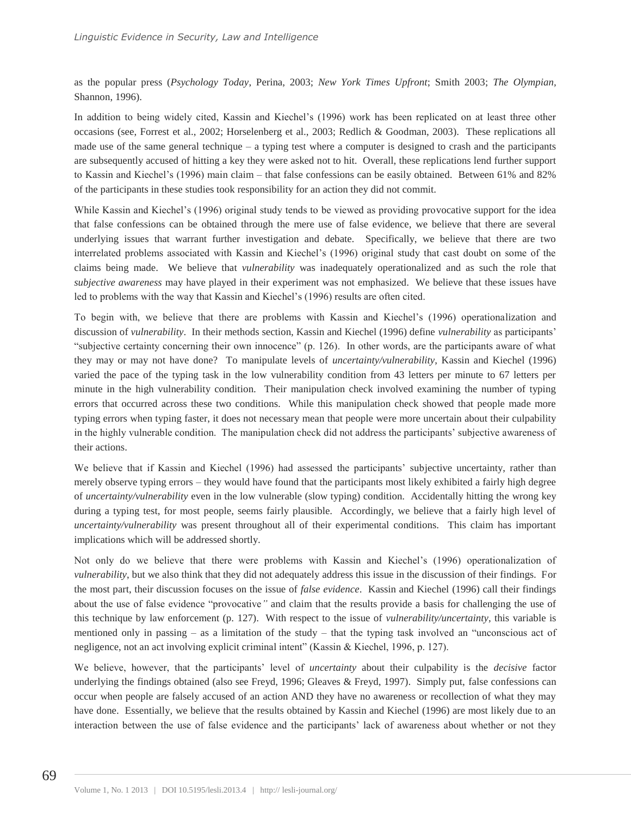as the popular press (*Psychology Today*, Perina, 2003; *New York Times Upfront*; Smith 2003; *The Olympian,*  Shannon, 1996).

In addition to being widely cited, Kassin and Kiechel's (1996) work has been replicated on at least three other occasions (see, Forrest et al., 2002; Horselenberg et al., 2003; Redlich & Goodman, 2003). These replications all made use of the same general technique – a typing test where a computer is designed to crash and the participants are subsequently accused of hitting a key they were asked not to hit. Overall, these replications lend further support to Kassin and Kiechel's (1996) main claim – that false confessions can be easily obtained. Between 61% and 82% of the participants in these studies took responsibility for an action they did not commit.

While Kassin and Kiechel's (1996) original study tends to be viewed as providing provocative support for the idea that false confessions can be obtained through the mere use of false evidence, we believe that there are several underlying issues that warrant further investigation and debate. Specifically, we believe that there are two interrelated problems associated with Kassin and Kiechel's (1996) original study that cast doubt on some of the claims being made. We believe that *vulnerability* was inadequately operationalized and as such the role that *subjective awareness* may have played in their experiment was not emphasized. We believe that these issues have led to problems with the way that Kassin and Kiechel's (1996) results are often cited.

To begin with, we believe that there are problems with Kassin and Kiechel's (1996) operationalization and discussion of *vulnerability*. In their methods section, Kassin and Kiechel (1996) define *vulnerability* as participants' "subjective certainty concerning their own innocence" (p. 126). In other words, are the participants aware of what they may or may not have done? To manipulate levels of *uncertainty/vulnerability*, Kassin and Kiechel (1996) varied the pace of the typing task in the low vulnerability condition from 43 letters per minute to 67 letters per minute in the high vulnerability condition. Their manipulation check involved examining the number of typing errors that occurred across these two conditions. While this manipulation check showed that people made more typing errors when typing faster, it does not necessary mean that people were more uncertain about their culpability in the highly vulnerable condition. The manipulation check did not address the participants' subjective awareness of their actions.

We believe that if Kassin and Kiechel (1996) had assessed the participants' subjective uncertainty, rather than merely observe typing errors – they would have found that the participants most likely exhibited a fairly high degree of *uncertainty/vulnerability* even in the low vulnerable (slow typing) condition. Accidentally hitting the wrong key during a typing test, for most people, seems fairly plausible. Accordingly, we believe that a fairly high level of *uncertainty/vulnerability* was present throughout all of their experimental conditions. This claim has important implications which will be addressed shortly.

Not only do we believe that there were problems with Kassin and Kiechel's (1996) operationalization of *vulnerability*, but we also think that they did not adequately address this issue in the discussion of their findings. For the most part, their discussion focuses on the issue of *false evidence*. Kassin and Kiechel (1996) call their findings about the use of false evidence "provocative*"* and claim that the results provide a basis for challenging the use of this technique by law enforcement (p. 127). With respect to the issue of *vulnerability/uncertainty*, this variable is mentioned only in passing – as a limitation of the study – that the typing task involved an "unconscious act of negligence, not an act involving explicit criminal intent" (Kassin & Kiechel, 1996, p. 127).

We believe, however, that the participants' level of *uncertainty* about their culpability is the *decisive* factor underlying the findings obtained (also see Freyd, 1996; Gleaves & Freyd, 1997). Simply put, false confessions can occur when people are falsely accused of an action AND they have no awareness or recollection of what they may have done. Essentially, we believe that the results obtained by Kassin and Kiechel (1996) are most likely due to an interaction between the use of false evidence and the participants' lack of awareness about whether or not they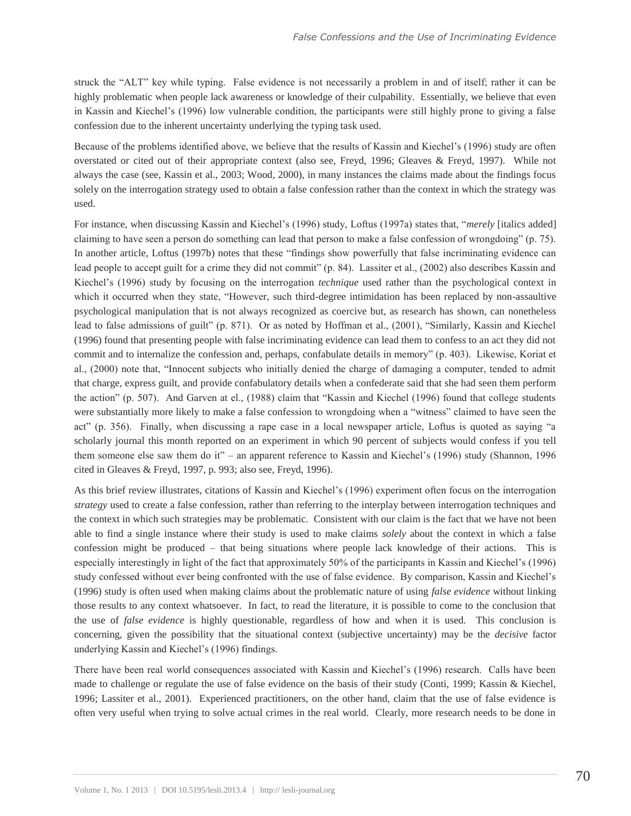struck the "ALT" key while typing. False evidence is not necessarily a problem in and of itself; rather it can be highly problematic when people lack awareness or knowledge of their culpability. Essentially, we believe that even in Kassin and Kiechel's (1996) low vulnerable condition, the participants were still highly prone to giving a false confession due to the inherent uncertainty underlying the typing task used.

Because of the problems identified above, we believe that the results of Kassin and Kiechel's (1996) study are often overstated or cited out of their appropriate context (also see, Freyd, 1996; Gleaves & Freyd, 1997). While not always the case (see, Kassin et al., 2003; Wood, 2000), in many instances the claims made about the findings focus solely on the interrogation strategy used to obtain a false confession rather than the context in which the strategy was used.

For instance, when discussing Kassin and Kiechel's (1996) study, Loftus (1997a) states that, "*merely* [italics added] claiming to have seen a person do something can lead that person to make a false confession of wrongdoing" (p. 75). In another article, Loftus (1997b) notes that these "findings show powerfully that false incriminating evidence can lead people to accept guilt for a crime they did not commit" (p. 84). Lassiter et al., (2002) also describes Kassin and Kiechel's (1996) study by focusing on the interrogation *technique* used rather than the psychological context in which it occurred when they state, "However, such third-degree intimidation has been replaced by non-assaultive psychological manipulation that is not always recognized as coercive but, as research has shown, can nonetheless lead to false admissions of guilt" (p. 871). Or as noted by Hoffman et al., (2001), "Similarly, Kassin and Kiechel (1996) found that presenting people with false incriminating evidence can lead them to confess to an act they did not commit and to internalize the confession and, perhaps, confabulate details in memory" (p. 403). Likewise, Koriat et al., (2000) note that, "Innocent subjects who initially denied the charge of damaging a computer, tended to admit that charge, express guilt, and provide confabulatory details when a confederate said that she had seen them perform the action" (p. 507). And Garven at el., (1988) claim that "Kassin and Kiechel (1996) found that college students were substantially more likely to make a false confession to wrongdoing when a "witness" claimed to have seen the act" (p. 356). Finally, when discussing a rape case in a local newspaper article, Loftus is quoted as saying "a scholarly journal this month reported on an experiment in which 90 percent of subjects would confess if you tell them someone else saw them do it" – an apparent reference to Kassin and Kiechel's (1996) study (Shannon, 1996 cited in Gleaves & Freyd, 1997, p. 993; also see, Freyd, 1996).

As this brief review illustrates, citations of Kassin and Kiechel's (1996) experiment often focus on the interrogation *strategy* used to create a false confession, rather than referring to the interplay between interrogation techniques and the context in which such strategies may be problematic. Consistent with our claim is the fact that we have not been able to find a single instance where their study is used to make claims *solely* about the context in which a false confession might be produced – that being situations where people lack knowledge of their actions. This is especially interestingly in light of the fact that approximately 50% of the participants in Kassin and Kiechel's (1996) study confessed without ever being confronted with the use of false evidence. By comparison, Kassin and Kiechel's (1996) study is often used when making claims about the problematic nature of using *false evidence* without linking those results to any context whatsoever. In fact, to read the literature, it is possible to come to the conclusion that the use of *false evidence* is highly questionable, regardless of how and when it is used. This conclusion is concerning, given the possibility that the situational context (subjective uncertainty) may be the *decisive* factor underlying Kassin and Kiechel's (1996) findings.

There have been real world consequences associated with Kassin and Kiechel's (1996) research. Calls have been made to challenge or regulate the use of false evidence on the basis of their study (Conti, 1999; Kassin & Kiechel, 1996; Lassiter et al., 2001). Experienced practitioners, on the other hand, claim that the use of false evidence is often very useful when trying to solve actual crimes in the real world. Clearly, more research needs to be done in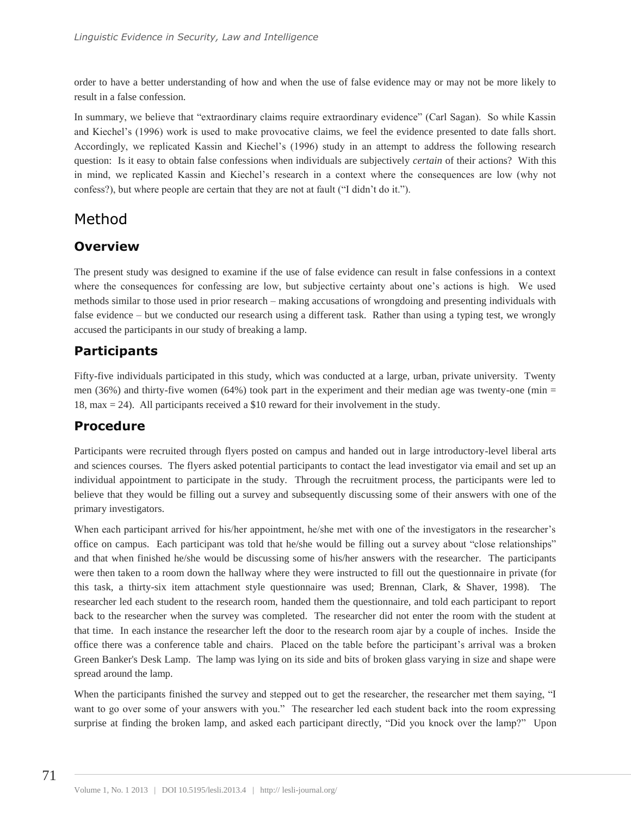order to have a better understanding of how and when the use of false evidence may or may not be more likely to result in a false confession.

In summary, we believe that "extraordinary claims require extraordinary evidence" (Carl Sagan). So while Kassin and Kiechel's (1996) work is used to make provocative claims, we feel the evidence presented to date falls short. Accordingly, we replicated Kassin and Kiechel's (1996) study in an attempt to address the following research question: Is it easy to obtain false confessions when individuals are subjectively *certain* of their actions? With this in mind, we replicated Kassin and Kiechel's research in a context where the consequences are low (why not confess?), but where people are certain that they are not at fault ("I didn't do it.").

## Method

## **Overview**

The present study was designed to examine if the use of false evidence can result in false confessions in a context where the consequences for confessing are low, but subjective certainty about one's actions is high. We used methods similar to those used in prior research – making accusations of wrongdoing and presenting individuals with false evidence – but we conducted our research using a different task. Rather than using a typing test, we wrongly accused the participants in our study of breaking a lamp.

## **Participants**

Fifty-five individuals participated in this study, which was conducted at a large, urban, private university. Twenty men (36%) and thirty-five women (64%) took part in the experiment and their median age was twenty-one (min = 18, max = 24). All participants received a \$10 reward for their involvement in the study.

#### **Procedure**

Participants were recruited through flyers posted on campus and handed out in large introductory-level liberal arts and sciences courses. The flyers asked potential participants to contact the lead investigator via email and set up an individual appointment to participate in the study. Through the recruitment process, the participants were led to believe that they would be filling out a survey and subsequently discussing some of their answers with one of the primary investigators.

When each participant arrived for his/her appointment, he/she met with one of the investigators in the researcher's office on campus. Each participant was told that he/she would be filling out a survey about "close relationships" and that when finished he/she would be discussing some of his/her answers with the researcher. The participants were then taken to a room down the hallway where they were instructed to fill out the questionnaire in private (for this task, a thirty-six item attachment style questionnaire was used; Brennan, Clark, & Shaver, 1998). The researcher led each student to the research room, handed them the questionnaire, and told each participant to report back to the researcher when the survey was completed. The researcher did not enter the room with the student at that time. In each instance the researcher left the door to the research room ajar by a couple of inches. Inside the office there was a conference table and chairs. Placed on the table before the participant's arrival was a broken Green Banker's Desk Lamp. The lamp was lying on its side and bits of broken glass varying in size and shape were spread around the lamp.

When the participants finished the survey and stepped out to get the researcher, the researcher met them saying, "I want to go over some of your answers with you." The researcher led each student back into the room expressing surprise at finding the broken lamp, and asked each participant directly, "Did you knock over the lamp?" Upon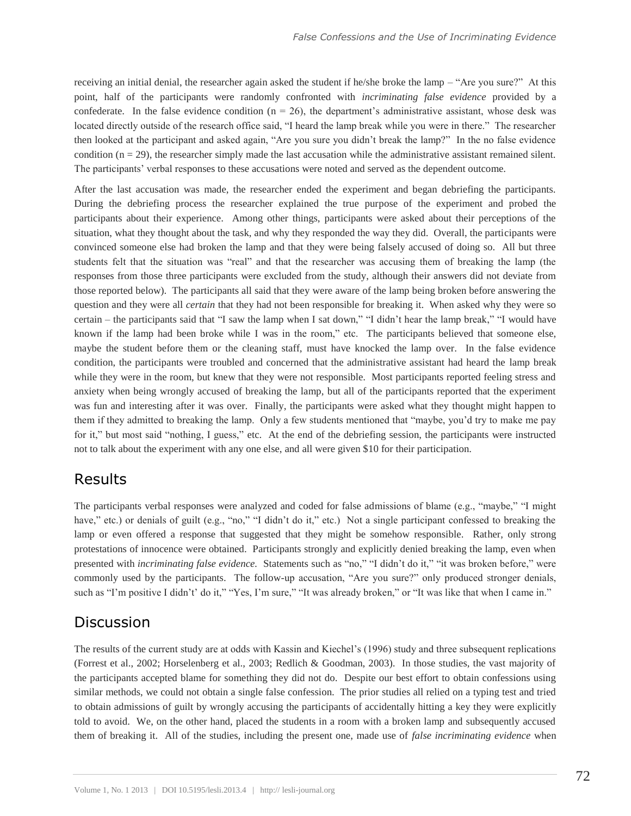receiving an initial denial, the researcher again asked the student if he/she broke the lamp – "Are you sure?" At this point, half of the participants were randomly confronted with *incriminating false evidence* provided by a confederate. In the false evidence condition ( $n = 26$ ), the department's administrative assistant, whose desk was located directly outside of the research office said, "I heard the lamp break while you were in there." The researcher then looked at the participant and asked again, "Are you sure you didn't break the lamp?" In the no false evidence condition  $(n = 29)$ , the researcher simply made the last accusation while the administrative assistant remained silent. The participants' verbal responses to these accusations were noted and served as the dependent outcome.

After the last accusation was made, the researcher ended the experiment and began debriefing the participants. During the debriefing process the researcher explained the true purpose of the experiment and probed the participants about their experience. Among other things, participants were asked about their perceptions of the situation, what they thought about the task, and why they responded the way they did. Overall, the participants were convinced someone else had broken the lamp and that they were being falsely accused of doing so. All but three students felt that the situation was "real" and that the researcher was accusing them of breaking the lamp (the responses from those three participants were excluded from the study, although their answers did not deviate from those reported below). The participants all said that they were aware of the lamp being broken before answering the question and they were all *certain* that they had not been responsible for breaking it. When asked why they were so certain – the participants said that "I saw the lamp when I sat down," "I didn't hear the lamp break," "I would have known if the lamp had been broke while I was in the room," etc. The participants believed that someone else, maybe the student before them or the cleaning staff, must have knocked the lamp over. In the false evidence condition, the participants were troubled and concerned that the administrative assistant had heard the lamp break while they were in the room, but knew that they were not responsible. Most participants reported feeling stress and anxiety when being wrongly accused of breaking the lamp, but all of the participants reported that the experiment was fun and interesting after it was over. Finally, the participants were asked what they thought might happen to them if they admitted to breaking the lamp. Only a few students mentioned that "maybe, you'd try to make me pay for it," but most said "nothing, I guess," etc. At the end of the debriefing session, the participants were instructed not to talk about the experiment with any one else, and all were given \$10 for their participation.

#### Results

The participants verbal responses were analyzed and coded for false admissions of blame (e.g., "maybe," "I might have," etc.) or denials of guilt (e.g., "no," "I didn't do it," etc.) Not a single participant confessed to breaking the lamp or even offered a response that suggested that they might be somehow responsible. Rather, only strong protestations of innocence were obtained. Participants strongly and explicitly denied breaking the lamp, even when presented with *incriminating false evidence.* Statements such as "no," "I didn't do it," "it was broken before," were commonly used by the participants. The follow-up accusation, "Are you sure?" only produced stronger denials, such as "I'm positive I didn't' do it," "Yes, I'm sure," "It was already broken," or "It was like that when I came in."

#### **Discussion**

The results of the current study are at odds with Kassin and Kiechel's (1996) study and three subsequent replications (Forrest et al., 2002; Horselenberg et al., 2003; Redlich & Goodman, 2003). In those studies, the vast majority of the participants accepted blame for something they did not do. Despite our best effort to obtain confessions using similar methods, we could not obtain a single false confession. The prior studies all relied on a typing test and tried to obtain admissions of guilt by wrongly accusing the participants of accidentally hitting a key they were explicitly told to avoid. We, on the other hand, placed the students in a room with a broken lamp and subsequently accused them of breaking it. All of the studies, including the present one, made use of *false incriminating evidence* when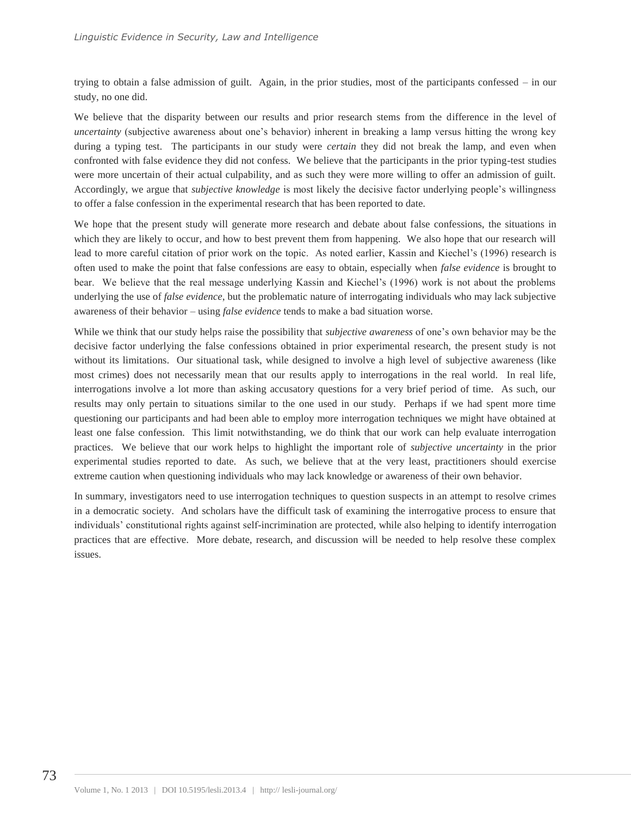trying to obtain a false admission of guilt. Again, in the prior studies, most of the participants confessed – in our study, no one did.

We believe that the disparity between our results and prior research stems from the difference in the level of *uncertainty* (subjective awareness about one's behavior) inherent in breaking a lamp versus hitting the wrong key during a typing test. The participants in our study were *certain* they did not break the lamp, and even when confronted with false evidence they did not confess. We believe that the participants in the prior typing-test studies were more uncertain of their actual culpability, and as such they were more willing to offer an admission of guilt. Accordingly, we argue that *subjective knowledge* is most likely the decisive factor underlying people's willingness to offer a false confession in the experimental research that has been reported to date.

We hope that the present study will generate more research and debate about false confessions, the situations in which they are likely to occur, and how to best prevent them from happening. We also hope that our research will lead to more careful citation of prior work on the topic. As noted earlier, Kassin and Kiechel's (1996) research is often used to make the point that false confessions are easy to obtain, especially when *false evidence* is brought to bear. We believe that the real message underlying Kassin and Kiechel's (1996) work is not about the problems underlying the use of *false evidence*, but the problematic nature of interrogating individuals who may lack subjective awareness of their behavior – using *false evidence* tends to make a bad situation worse.

While we think that our study helps raise the possibility that *subjective awareness* of one's own behavior may be the decisive factor underlying the false confessions obtained in prior experimental research, the present study is not without its limitations. Our situational task, while designed to involve a high level of subjective awareness (like most crimes) does not necessarily mean that our results apply to interrogations in the real world. In real life, interrogations involve a lot more than asking accusatory questions for a very brief period of time. As such, our results may only pertain to situations similar to the one used in our study. Perhaps if we had spent more time questioning our participants and had been able to employ more interrogation techniques we might have obtained at least one false confession. This limit notwithstanding, we do think that our work can help evaluate interrogation practices. We believe that our work helps to highlight the important role of *subjective uncertainty* in the prior experimental studies reported to date. As such, we believe that at the very least, practitioners should exercise extreme caution when questioning individuals who may lack knowledge or awareness of their own behavior.

In summary, investigators need to use interrogation techniques to question suspects in an attempt to resolve crimes in a democratic society. And scholars have the difficult task of examining the interrogative process to ensure that individuals' constitutional rights against self-incrimination are protected, while also helping to identify interrogation practices that are effective. More debate, research, and discussion will be needed to help resolve these complex issues.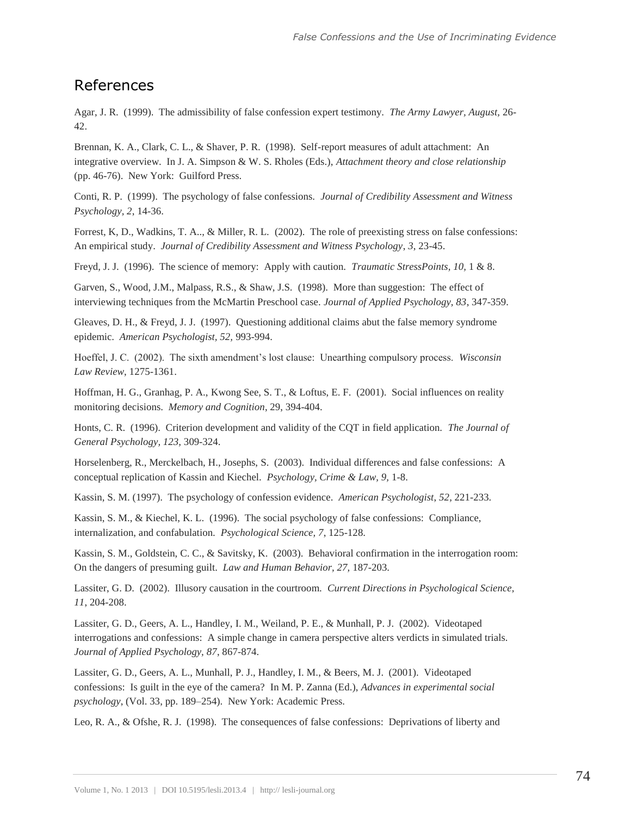#### References

Agar, J. R. (1999). The admissibility of false confession expert testimony. *The Army Lawyer, August,* 26- 42.

Brennan, K. A., Clark, C. L., & Shaver, P. R. (1998). Self-report measures of adult attachment: An integrative overview. In J. A. Simpson & W. S. Rholes (Eds.), *Attachment theory and close relationship*  (pp. 46-76). New York: Guilford Press.

Conti, R. P. (1999). The psychology of false confessions. *Journal of Credibility Assessment and Witness Psychology, 2*, 14-36.

Forrest, K, D., Wadkins, T. A.., & Miller, R. L. (2002). The role of preexisting stress on false confessions: An empirical study. *Journal of Credibility Assessment and Witness Psychology*, *3*, 23-45.

Freyd, J. J. (1996). The science of memory: Apply with caution. *Traumatic StressPoints, 10,* 1 & 8.

Garven, S., Wood, J.M., Malpass, R.S., & Shaw, J.S. (1998). More than suggestion: The effect of interviewing techniques from the McMartin Preschool case. *Journal of Applied Psychology, 83*, 347-359.

Gleaves, D. H., & Freyd, J. J. (1997). Questioning additional claims abut the false memory syndrome epidemic. *American Psychologist, 52,* 993-994.

Hoeffel, J. C. (2002). The sixth amendment's lost clause: Unearthing compulsory process. *Wisconsin Law Review*, 1275-1361.

Hoffman, H. G., Granhag, P. A., Kwong See, S. T., & Loftus, E. F. (2001). Social influences on reality monitoring decisions. *Memory and Cognition*, 29, 394-404.

Honts, C. R. (1996). Criterion development and validity of the CQT in field application. *The Journal of General Psychology, 123,* 309-324.

Horselenberg, R., Merckelbach, H., Josephs, S. (2003). Individual differences and false confessions: A conceptual replication of Kassin and Kiechel. *Psychology, Crime & Law, 9,* 1-8.

Kassin, S. M. (1997). The psychology of confession evidence. *American Psychologist*, *52,* 221-233.

Kassin, S. M., & Kiechel, K. L. (1996). The social psychology of false confessions: Compliance, internalization, and confabulation. *Psychological Science, 7*, 125-128.

Kassin, S. M., Goldstein, C. C., & Savitsky, K. (2003). Behavioral confirmation in the interrogation room: On the dangers of presuming guilt. *Law and Human Behavior, 27,* 187-203.

Lassiter, G. D. (2002). Illusory causation in the courtroom. *Current Directions in Psychological Science, 11*, 204-208.

Lassiter, G. D., Geers, A. L., Handley, I. M., Weiland, P. E., & Munhall, P. J. (2002). Videotaped interrogations and confessions: A simple change in camera perspective alters verdicts in simulated trials. *Journal of Applied Psychology, 87*, 867-874.

Lassiter, G. D., Geers, A. L., Munhall, P. J., Handley, I. M., & Beers, M. J. (2001). Videotaped confessions: Is guilt in the eye of the camera? In M. P. Zanna (Ed.), *Advances in experimental social psychology*, (Vol. 33, pp. 189–254). New York: Academic Press.

Leo, R. A., & Ofshe, R. J. (1998). The consequences of false confessions: Deprivations of liberty and